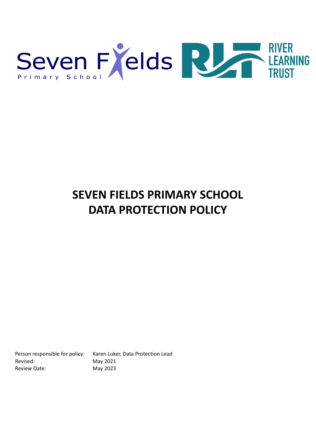

# **SEVEN FIELDS PRIMARY SCHOOL DATA PROTECTION POLICY**

Revised: May 2021 Review Date: May 2023

Person responsible for policy: Karen Luker, Data Protection Lead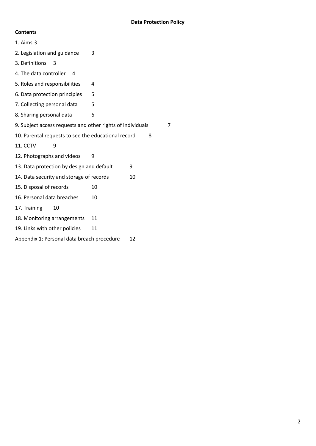# **Contents**

| $1.$ Aims $3$                                                   |    |    |
|-----------------------------------------------------------------|----|----|
| 2. Legislation and guidance                                     | 3  |    |
| 3. Definitions<br>3                                             |    |    |
| 4. The data controller<br>$\overline{4}$                        |    |    |
| 5. Roles and responsibilities                                   | 4  |    |
| 6. Data protection principles                                   | 5  |    |
| 7. Collecting personal data                                     | 5  |    |
| 8. Sharing personal data                                        | 6  |    |
| 9. Subject access requests and other rights of individuals<br>7 |    |    |
| 10. Parental requests to see the educational record<br>8        |    |    |
| 11. CCTV<br>٩                                                   |    |    |
| 12. Photographs and videos                                      | 9  |    |
| 13. Data protection by design and default                       |    | 9  |
| 14. Data security and storage of records                        |    | 10 |
| 15. Disposal of records                                         | 10 |    |
| 16. Personal data breaches                                      | 10 |    |
| 17. Training<br>10                                              |    |    |
| 18. Monitoring arrangements                                     | 11 |    |
| 19. Links with other policies                                   | 11 |    |
| Appendix 1: Personal data breach procedure                      |    | 12 |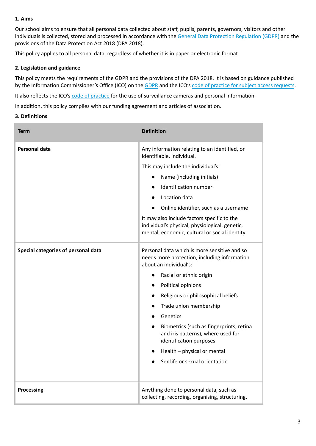## **1. Aims**

Our school aims to ensure that all personal data collected about staff, pupils, parents, governors, visitors and other individuals is collected, stored and processed in accordance with the General Data Protection [Regulation](http://data.consilium.europa.eu/doc/document/ST-5419-2016-INIT/en/pdf) (GDPR) and the provisions of the Data Protection Act 2018 (DPA 2018).

This policy applies to all personal data, regardless of whether it is in paper or electronic format.

## **2. Legislation and guidance**

This policy meets the requirements of the GDPR and the provisions of the DPA 2018. It is based on guidance published by the Information Commissioner's Office (ICO) on the [GDPR](https://ico.org.uk/for-organisations/guide-to-the-general-data-protection-regulation-gdpr/) and the ICO's code of practice for subject access [requests](https://ico.org.uk/media/for-organisations/documents/2014223/subject-access-code-of-practice.pdf).

It also reflects the ICO's code of [practice](https://ico.org.uk/media/for-organisations/documents/1542/cctv-code-of-practice.pdf) for the use of surveillance cameras and personal information.

In addition, this policy complies with our funding agreement and articles of association.

#### **3. Definitions**

| <b>Term</b>                         | <b>Definition</b>                                                                                                                               |  |
|-------------------------------------|-------------------------------------------------------------------------------------------------------------------------------------------------|--|
| <b>Personal data</b>                | Any information relating to an identified, or<br>identifiable, individual.                                                                      |  |
|                                     | This may include the individual's:                                                                                                              |  |
|                                     | Name (including initials)<br>$\bullet$                                                                                                          |  |
|                                     | Identification number<br>$\bullet$                                                                                                              |  |
|                                     | Location data<br>$\bullet$                                                                                                                      |  |
|                                     | Online identifier, such as a username                                                                                                           |  |
|                                     | It may also include factors specific to the<br>individual's physical, physiological, genetic,<br>mental, economic, cultural or social identity. |  |
| Special categories of personal data | Personal data which is more sensitive and so<br>needs more protection, including information<br>about an individual's:                          |  |
|                                     | Racial or ethnic origin<br>$\bullet$                                                                                                            |  |
|                                     | Political opinions<br>$\bullet$                                                                                                                 |  |
|                                     | Religious or philosophical beliefs<br>$\bullet$                                                                                                 |  |
|                                     | Trade union membership                                                                                                                          |  |
|                                     | Genetics                                                                                                                                        |  |
|                                     | Biometrics (such as fingerprints, retina<br>$\bullet$<br>and iris patterns), where used for<br>identification purposes                          |  |
|                                     | Health - physical or mental                                                                                                                     |  |
|                                     | Sex life or sexual orientation                                                                                                                  |  |
| <b>Processing</b>                   | Anything done to personal data, such as<br>collecting, recording, organising, structuring,                                                      |  |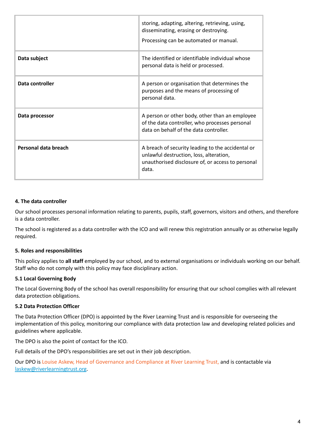|                      | storing, adapting, altering, retrieving, using,<br>disseminating, erasing or destroying.<br>Processing can be automated or manual.                         |
|----------------------|------------------------------------------------------------------------------------------------------------------------------------------------------------|
| Data subject         | The identified or identifiable individual whose<br>personal data is held or processed.                                                                     |
| Data controller      | A person or organisation that determines the<br>purposes and the means of processing of<br>personal data.                                                  |
| Data processor       | A person or other body, other than an employee<br>of the data controller, who processes personal<br>data on behalf of the data controller.                 |
| Personal data breach | A breach of security leading to the accidental or<br>unlawful destruction, loss, alteration,<br>unauthorised disclosure of, or access to personal<br>data. |

#### **4. The data controller**

Our school processes personal information relating to parents, pupils, staff, governors, visitors and others, and therefore is a data controller.

The school is registered as a data controller with the ICO and will renew this registration annually or as otherwise legally required.

#### **5. Roles and responsibilities**

This policy applies to **all staff** employed by our school, and to external organisations or individuals working on our behalf. Staff who do not comply with this policy may face disciplinary action.

#### **5.1 Local Governing Body**

The Local Governing Body of the school has overall responsibility for ensuring that our school complies with all relevant data protection obligations.

#### **5.2 Data Protection Officer**

The Data Protection Officer (DPO) is appointed by the River Learning Trust and is responsible for overseeing the implementation of this policy, monitoring our compliance with data protection law and developing related policies and guidelines where applicable.

The DPO is also the point of contact for the ICO.

Full details of the DPO's responsibilities are set out in their job description.

Our DPO is Louise Askew, Head of Governance and Compliance at River Learning Trust, and is contactable via [laskew@riverlearningtrust.org](mailto:laskew@riverlearningtrust.org).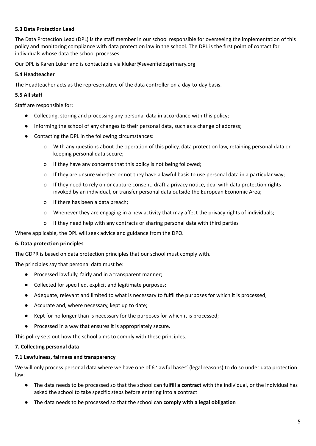## **5.3 Data Protection Lead**

The Data Protection Lead (DPL) is the staff member in our school responsible for overseeing the implementation of this policy and monitoring compliance with data protection law in the school. The DPL is the first point of contact for individuals whose data the school processes.

Our DPL is Karen Luker and is contactable via kluker@sevenfieldsprimary.org

#### **5.4 Headteacher**

The Headteacher acts as the representative of the data controller on a day-to-day basis.

#### **5.5 All staff**

Staff are responsible for:

- Collecting, storing and processing any personal data in accordance with this policy;
- Informing the school of any changes to their personal data, such as a change of address;
- Contacting the DPL in the following circumstances:
	- o With any questions about the operation of this policy, data protection law, retaining personal data or keeping personal data secure;
	- o If they have any concerns that this policy is not being followed;
	- o If they are unsure whether or not they have a lawful basis to use personal data in a particular way;
	- o If they need to rely on or capture consent, draft a privacy notice, deal with data protection rights invoked by an individual, or transfer personal data outside the European Economic Area;
	- o If there has been a data breach;
	- o Whenever they are engaging in a new activity that may affect the privacy rights of individuals;
	- o If they need help with any contracts or sharing personal data with third parties

Where applicable, the DPL will seek advice and guidance from the DPO.

#### **6. Data protection principles**

The GDPR is based on data protection principles that our school must comply with.

The principles say that personal data must be:

- Processed lawfully, fairly and in a transparent manner;
- Collected for specified, explicit and legitimate purposes;
- Adequate, relevant and limited to what is necessary to fulfil the purposes for which it is processed;
- Accurate and, where necessary, kept up to date;
- Kept for no longer than is necessary for the purposes for which it is processed;
- Processed in a way that ensures it is appropriately secure.

This policy sets out how the school aims to comply with these principles.

## **7. Collecting personal data**

## **7.1 Lawfulness, fairness and transparency**

We will only process personal data where we have one of 6 'lawful bases' (legal reasons) to do so under data protection law:

- The data needs to be processed so that the school can **fulfill a contract** with the individual, or the individual has asked the school to take specific steps before entering into a contract
- The data needs to be processed so that the school can **comply with a legal obligation**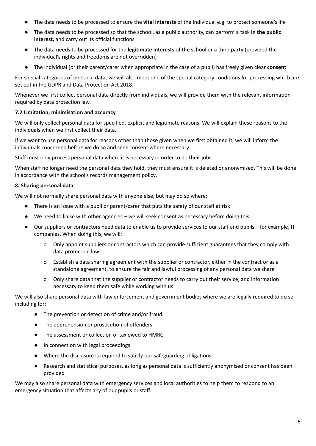- The data needs to be processed to ensure the **vital interests** of the individual e.g. to protect someone's life
- The data needs to be processed so that the school, as a public authority, can perform a task **in the public interest,** and carry out its official functions
- The data needs to be processed for the **legitimate interests** of the school or a third party (provided the individual's rights and freedoms are not overridden)
- The individual (or their parent/carer when appropriate in the case of a pupil) has freely given clear **consent**

For special categories of personal data, we will also meet one of the special category conditions for processing which are set out in the GDPR and Data Protection Act 2018.

Whenever we first collect personal data directly from individuals, we will provide them with the relevant information required by data protection law.

# **7.2 Limitation, minimisation and accuracy**

We will only collect personal data for specified, explicit and legitimate reasons. We will explain these reasons to the individuals when we first collect their data.

If we want to use personal data for reasons other than those given when we first obtained it, we will inform the individuals concerned before we do so and seek consent where necessary.

Staff must only process personal data where it is necessary in order to do their jobs.

When staff no longer need the personal data they hold, they must ensure it is deleted or anonymised. This will be done in accordance with the school's records management policy.

# **8. Sharing personal data**

We will not normally share personal data with anyone else, but may do so where:

- There is an issue with a pupil or parent/carer that puts the safety of our staff at risk
- We need to liaise with other agencies we will seek consent as necessary before doing this
- Our suppliers or contractors need data to enable us to provide services to our staff and pupils for example, IT companies. When doing this, we will:
	- o Only appoint suppliers or contractors which can provide sufficient guarantees that they comply with data protection law
	- o Establish a data sharing agreement with the supplier or contractor, either in the contract or as a standalone agreement, to ensure the fair and lawful processing of any personal data we share
	- Only share data that the supplier or contractor needs to carry out their service, and information necessary to keep them safe while working with us

We will also share personal data with law enforcement and government bodies where we are legally required to do so, including for:

- The prevention or detection of crime and/or fraud
- The apprehension or prosecution of offenders
- The assessment or collection of tax owed to HMRC
- In connection with legal proceedings
- Where the disclosure is required to satisfy our safeguarding obligations
- Research and statistical purposes, as long as personal data is sufficiently anonymised or consent has been provided

We may also share personal data with emergency services and local authorities to help them to respond to an emergency situation that affects any of our pupils or staff.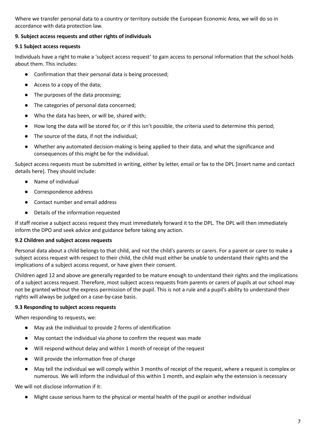Where we transfer personal data to a country or territory outside the European Economic Area, we will do so in accordance with data protection law.

# **9. Subject access requests and other rights of individuals**

## **9.1 Subject access requests**

Individuals have a right to make a 'subject access request' to gain access to personal information that the school holds about them. This includes:

- Confirmation that their personal data is being processed;
- Access to a copy of the data;
- The purposes of the data processing;
- The categories of personal data concerned;
- Who the data has been, or will be, shared with;
- How long the data will be stored for, or if this isn't possible, the criteria used to determine this period;
- The source of the data, if not the individual;
- Whether any automated decision-making is being applied to their data, and what the significance and consequences of this might be for the individual.

Subject access requests must be submitted in writing, either by letter, email or fax to the DPL [insert name and contact details here]. They should include:

- Name of individual
- Correspondence address
- Contact number and email address
- Details of the information requested

If staff receive a subject access request they must immediately forward it to the DPL. The DPL will then immediately inform the DPO and seek advice and guidance before taking any action.

## **9.2 Children and subject access requests**

Personal data about a child belongs to that child, and not the child's parents or carers. For a parent or carer to make a subject access request with respect to their child, the child must either be unable to understand their rights and the implications of a subject access request, or have given their consent.

Children aged 12 and above are generally regarded to be mature enough to understand their rights and the implications of a subject access request. Therefore, most subject access requests from parents or carers of pupils at our school may not be granted without the express permission of the pupil. This is not a rule and a pupil's ability to understand their rights will always be judged on a case-by-case basis.

## **9.3 Responding to subject access requests**

When responding to requests, we:

- May ask the individual to provide 2 forms of identification
- May contact the individual via phone to confirm the request was made
- Will respond without delay and within 1 month of receipt of the request
- Will provide the information free of charge
- May tell the individual we will comply within 3 months of receipt of the request, where a request is complex or numerous. We will inform the individual of this within 1 month, and explain why the extension is necessary

We will not disclose information if it:

● Might cause serious harm to the physical or mental health of the pupil or another individual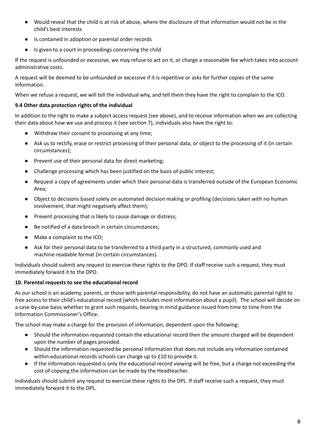- Would reveal that the child is at risk of abuse, where the disclosure of that information would not be in the child's best interests
- Is contained in adoption or parental order records
- Is given to a court in proceedings concerning the child

If the request is unfounded or excessive, we may refuse to act on it, or charge a reasonable fee which takes into account administrative costs.

A request will be deemed to be unfounded or excessive if it is repetitive or asks for further copies of the same information.

When we refuse a request, we will tell the individual why, and tell them they have the right to complain to the ICO.

## **9.4 Other data protection rights of the individual**

In addition to the right to make a subject access request (see above), and to receive information when we are collecting their data about how we use and process it (see section 7), individuals also have the right to:

- Withdraw their consent to processing at any time;
- Ask us to rectify, erase or restrict processing of their personal data, or object to the processing of it (in certain circumstances);
- Prevent use of their personal data for direct marketing;
- Challenge processing which has been justified on the basis of public interest;
- Request a copy of agreements under which their personal data is transferred outside of the European Economic Area;
- Object to decisions based solely on automated decision making or profiling (decisions taken with no human involvement, that might negatively affect them);
- Prevent processing that is likely to cause damage or distress;
- Be notified of a data breach in certain circumstances;
- Make a complaint to the ICO;
- Ask for their personal data to be transferred to a third party in a structured, commonly used and machine-readable format (in certain circumstances).

Individuals should submit any request to exercise these rights to the DPO. If staff receive such a request, they must immediately forward it to the DPO.

## **10. Parental requests to see the educational record**

As our school is an academy, parents, or those with parental responsibility, do not have an automatic parental right to free access to their child's educational record (which includes most information about a pupil). The school will decide on a case-by-case basis whether to grant such requests, bearing in mind guidance issued from time to time from the Information Commissioner's Office.

The school may make a charge for the provision of information, dependent upon the following:

- Should the information requested contain the educational record then the amount charged will be dependent upon the number of pages provided.
- Should the information requested be personal information that does not include any information contained within educational records schools can charge up to £10 to provide it.
- If the information requested is only the educational record viewing will be free, but a charge not exceeding the cost of copying the information can be made by the Headteacher.

Individuals should submit any request to exercise these rights to the DPL. If staff receive such a request, they must immediately forward it to the DPL.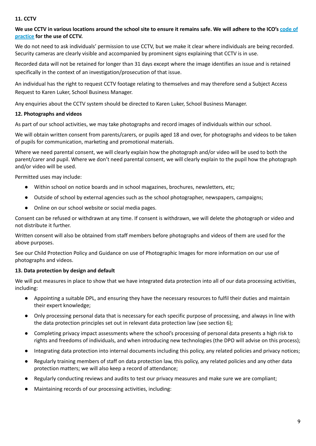## **11. CCTV**

## We use CCTV in various locations around the school site to ensure it remains safe. We will adhere to the ICO's [code](https://ico.org.uk/media/for-organisations/documents/1542/cctv-code-of-practice.pdf) of **[practice](https://ico.org.uk/media/for-organisations/documents/1542/cctv-code-of-practice.pdf) for the use of CCTV.**

We do not need to ask individuals' permission to use CCTV, but we make it clear where individuals are being recorded. Security cameras are clearly visible and accompanied by prominent signs explaining that CCTV is in use.

Recorded data will not be retained for longer than 31 days except where the image identifies an issue and is retained specifically in the context of an investigation/prosecution of that issue.

An individual has the right to request CCTV footage relating to themselves and may therefore send a Subject Access Request to Karen Luker, School Business Manager.

Any enquiries about the CCTV system should be directed to Karen Luker, School Business Manager.

## **12. Photographs and videos**

As part of our school activities, we may take photographs and record images of individuals within our school.

We will obtain written consent from parents/carers, or pupils aged 18 and over, for photographs and videos to be taken of pupils for communication, marketing and promotional materials.

Where we need parental consent, we will clearly explain how the photograph and/or video will be used to both the parent/carer and pupil. Where we don't need parental consent, we will clearly explain to the pupil how the photograph and/or video will be used.

Permitted uses may include:

- Within school on notice boards and in school magazines, brochures, newsletters, etc;
- Outside of school by external agencies such as the school photographer, newspapers, campaigns;
- Online on our school website or social media pages.

Consent can be refused or withdrawn at any time. If consent is withdrawn, we will delete the photograph or video and not distribute it further.

Written consent will also be obtained from staff members before photographs and videos of them are used for the above purposes.

See our Child Protection Policy and Guidance on use of Photographic Images for more information on our use of photographs and videos.

## **13. Data protection by design and default**

We will put measures in place to show that we have integrated data protection into all of our data processing activities, including:

- Appointing a suitable DPL, and ensuring they have the necessary resources to fulfil their duties and maintain their expert knowledge;
- Only processing personal data that is necessary for each specific purpose of processing, and always in line with the data protection principles set out in relevant data protection law (see section 6);
- Completing privacy impact assessments where the school's processing of personal data presents a high risk to rights and freedoms of individuals, and when introducing new technologies (the DPO will advise on this process);
- Integrating data protection into internal documents including this policy, any related policies and privacy notices;
- Regularly training members of staff on data protection law, this policy, any related policies and any other data protection matters; we will also keep a record of attendance;
- Regularly conducting reviews and audits to test our privacy measures and make sure we are compliant;
- Maintaining records of our processing activities, including: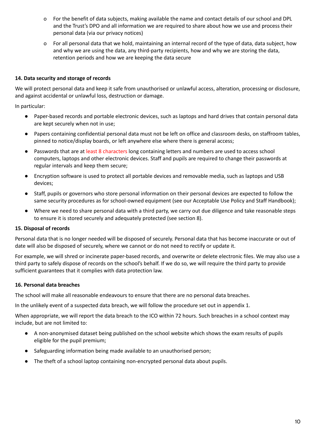- o For the benefit of data subjects, making available the name and contact details of our school and DPL and the Trust's DPO and all information we are required to share about how we use and process their personal data (via our privacy notices)
- o For all personal data that we hold, maintaining an internal record of the type of data, data subject, how and why we are using the data, any third-party recipients, how and why we are storing the data, retention periods and how we are keeping the data secure

# **14. Data security and storage of records**

We will protect personal data and keep it safe from unauthorised or unlawful access, alteration, processing or disclosure, and against accidental or unlawful loss, destruction or damage.

In particular:

- Paper-based records and portable electronic devices, such as laptops and hard drives that contain personal data are kept securely when not in use;
- Papers containing confidential personal data must not be left on office and classroom desks, on staffroom tables, pinned to notice/display boards, or left anywhere else where there is general access;
- Passwords that are at least 8 characters long containing letters and numbers are used to access school computers, laptops and other electronic devices. Staff and pupils are required to change their passwords at regular intervals and keep them secure;
- Encryption software is used to protect all portable devices and removable media, such as laptops and USB devices;
- Staff, pupils or governors who store personal information on their personal devices are expected to follow the same security procedures as for school-owned equipment (see our Acceptable Use Policy and Staff Handbook);
- Where we need to share personal data with a third party, we carry out due diligence and take reasonable steps to ensure it is stored securely and adequately protected (see section 8).

## **15. Disposal of records**

Personal data that is no longer needed will be disposed of securely. Personal data that has become inaccurate or out of date will also be disposed of securely, where we cannot or do not need to rectify or update it.

For example, we will shred or incinerate paper-based records, and overwrite or delete electronic files. We may also use a third party to safely dispose of records on the school's behalf. If we do so, we will require the third party to provide sufficient guarantees that it complies with data protection law.

# **16. Personal data breaches**

The school will make all reasonable endeavours to ensure that there are no personal data breaches.

In the unlikely event of a suspected data breach, we will follow the procedure set out in appendix 1.

When appropriate, we will report the data breach to the ICO within 72 hours. Such breaches in a school context may include, but are not limited to:

- A non-anonymised dataset being published on the school website which shows the exam results of pupils eligible for the pupil premium;
- Safeguarding information being made available to an unauthorised person;
- The theft of a school laptop containing non-encrypted personal data about pupils.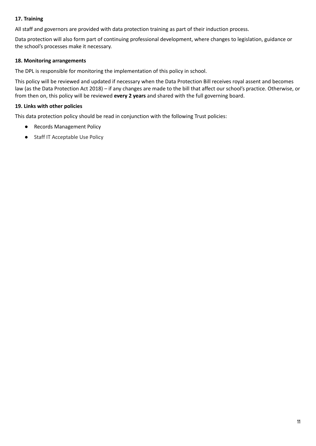# **17. Training**

All staff and governors are provided with data protection training as part of their induction process.

Data protection will also form part of continuing professional development, where changes to legislation, guidance or the school's processes make it necessary.

# **18. Monitoring arrangements**

The DPL is responsible for monitoring the implementation of this policy in school.

This policy will be reviewed and updated if necessary when the Data Protection Bill receives royal assent and becomes law (as the Data Protection Act 2018) – if any changes are made to the bill that affect our school's practice. Otherwise, or from then on, this policy will be reviewed **every 2 years** and shared with the full governing board.

## **19. Links with other policies**

This data protection policy should be read in conjunction with the following Trust policies:

- **Records Management Policy**
- Staff IT Acceptable Use Policy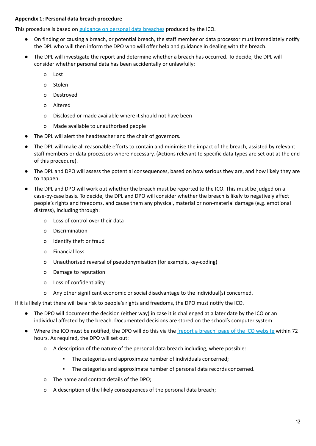## <span id="page-11-0"></span>**Appendix 1: Personal data breach procedure**

This procedure is based on [guidance](https://ico.org.uk/for-organisations/guide-to-the-general-data-protection-regulation-gdpr/personal-data-breaches/) on personal data breaches produced by the ICO.

- On finding or causing a breach, or potential breach, the staff member or data processor must immediately notify the DPL who will then inform the DPO who will offer help and guidance in dealing with the breach.
- The DPL will investigate the report and determine whether a breach has occurred. To decide, the DPL will consider whether personal data has been accidentally or unlawfully:
	- o Lost
	- o Stolen
	- o Destroyed
	- o Altered
	- o Disclosed or made available where it should not have been
	- o Made available to unauthorised people
- The DPL will alert the headteacher and the chair of governors.
- The DPL will make all reasonable efforts to contain and minimise the impact of the breach, assisted by relevant staff members or data processors where necessary. (Actions relevant to specific data types are set out at the end of this procedure).
- The DPL and DPO will assess the potential consequences, based on how serious they are, and how likely they are to happen.
- The DPL and DPO will work out whether the breach must be reported to the ICO. This must be judged on a case-by-case basis. To decide, the DPL and DPO will consider whether the breach is likely to negatively affect people's rights and freedoms, and cause them any physical, material or non-material damage (e.g. emotional distress), including through:
	- o Loss of control over their data
	- o Discrimination
	- o Identify theft or fraud
	- o Financial loss
	- o Unauthorised reversal of pseudonymisation (for example, key-coding)
	- o Damage to reputation
	- o Loss of confidentiality
	- o Any other significant economic or social disadvantage to the individual(s) concerned.

If it is likely that there will be a risk to people's rights and freedoms, the DPO must notify the ICO.

- The DPO will document the decision (either way) in case it is challenged at a later date by the ICO or an individual affected by the breach. Documented decisions are stored on the school's computer system
- Where the ICO must be notified, the DPO will do this via the 'report a breach' page of the ICO [website](https://ico.org.uk/for-organisations/report-a-breach/) within 72 hours. As required, the DPO will set out:
	- o A description of the nature of the personal data breach including, where possible:
		- The categories and approximate number of individuals concerned;
		- The categories and approximate number of personal data records concerned.
	- o The name and contact details of the DPO;
	- o A description of the likely consequences of the personal data breach;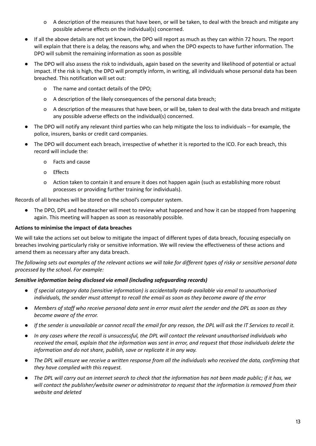- o A description of the measures that have been, or will be taken, to deal with the breach and mitigate any possible adverse effects on the individual(s) concerned.
- If all the above details are not yet known, the DPO will report as much as they can within 72 hours. The report will explain that there is a delay, the reasons why, and when the DPO expects to have further information. The DPO will submit the remaining information as soon as possible
- The DPO will also assess the risk to individuals, again based on the severity and likelihood of potential or actual impact. If the risk is high, the DPO will promptly inform, in writing, all individuals whose personal data has been breached. This notification will set out:
	- o The name and contact details of the DPO;
	- o A description of the likely consequences of the personal data breach;
	- o A description of the measures that have been, or will be, taken to deal with the data breach and mitigate any possible adverse effects on the individual(s) concerned.
- The DPO will notify any relevant third parties who can help mitigate the loss to individuals for example, the police, insurers, banks or credit card companies.
- The DPO will document each breach, irrespective of whether it is reported to the ICO. For each breach, this record will include the:
	- o Facts and cause
	- o Effects
	- o Action taken to contain it and ensure it does not happen again (such as establishing more robust processes or providing further training for individuals).

Records of all breaches will be stored on the school's computer system.

The DPO, DPL and headteacher will meet to review what happened and how it can be stopped from happening again. This meeting will happen as soon as reasonably possible.

#### **Actions to minimise the impact of data breaches**

We will take the actions set out below to mitigate the impact of different types of data breach, focusing especially on breaches involving particularly risky or sensitive information. We will review the effectiveness of these actions and amend them as necessary after any data breach.

The following sets out examples of the relevant actions we will take for different types of risky or sensitive personal data *processed by the school. For example:*

#### *Sensitive information being disclosed via email (including safeguarding records)*

- *● If special category data (sensitive information) is accidentally made available via email to unauthorised individuals, the sender must attempt to recall the email as soon as they become aware of the error*
- Members of staff who receive personal data sent in error must alert the sender and the DPL as soon as they *become aware of the error.*
- If the sender is unavailable or cannot recall the email for any reason, the DPL will ask the IT Services to recall it.
- In any cases where the recall is unsuccessful, the DPL will contact the relevant unauthorised individuals who received the email, explain that the information was sent in error, and request that those individuals delete the *information and do not share, publish, save or replicate it in any way.*
- The DPL will ensure we receive a written response from all the individuals who received the data, confirming that *they have complied with this request.*
- The DPL will carry out an internet search to check that the information has not been made public; if it has, we *will contact the publisher/website owner or administrator to request that the information is removed from their website and deleted*